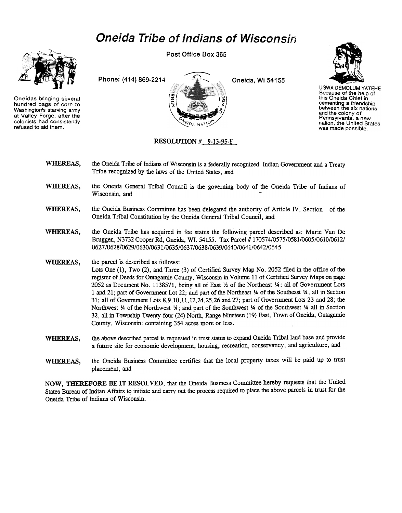## Oneida Tribe of Indians of Wisconsin



Oneidas bringing several hundred bags of corn to Washington's starving army at Valley Forge, after the colonists had consistently refused to aid them.

Post Office Box 365





UGWA DEMOLUM YATEHE Because of the help of this Oneida Chief in cementing a friendship<br>between the six nation and the colony of Pennsylvania. a new nation, the United States was made possible.

## RESOLUTION # 9-13-95-F

- WHEREAS, the Oneida Tribe of Indians of Wisconsin is a federally recognized Indian Government and a Treaty Tribe recognized by the laws of the Uriited States, and
- WHEREAS, the Oneida General Tribal Council is the governing body of the Oneida Tribe of Indians of Wisconsin, and
- WHEREAS, the Oneida Business Committee has been delegated the authority of Article IV, Section of the Oneida Tribal Constimtion by the Oneida General Tribal Council, and
- WHEREAS, the Oneida Tribe has acquired in fee status the following parcel described as: Marie Van De Bruggen, N3732 Cooper Rd, Oneida, WI. 54155. Tax Parcel # 170574/0575/0581/0605/0610/0612/ 0627/062810629/0630/0631/0635/0637/0638/0639/0640/0641/0642/0645
- WHEREAS, the parcel is described as follows:

Lots One (1), Two (2), and Three (3) of Certified Survey Map No. 2052 fIled in the office of the register of Deeds for Outagamie County, Wisconsin in Volume 11 of Certified Survey Maps on page 2052 as Document No. 1138571, being all of East 1/2 of the Northeast 1/4; all of Government Lots 1 and 21; part of Government Lot 22; and part of the Northeast Y4 of the Southeast Y4. all in Section 31; all of Government Lots 8,9,10,11,12,24,25,26 and 27; part of Government Lots 23 and 28; the Northwest  $\frac{1}{4}$  of the Northwest  $\frac{1}{4}$ ; and part of the Southwest  $\frac{1}{4}$  of the Southwest  $\frac{1}{4}$  all in Section 32, all in Township Twenty-four (24) North, Range Nineteen (19) East, Town of Oneida, Outagamie County, Wisconsin; containing 354 acres more or less.

- the above described parcel is requested in trust status to expand Oneida Tribal land base and provide a future site for economic development, housing, recreation, conservancy, and agriculture, and WHEREAS,
- the Oneida Business Committee certifies that the local property taxes will be paid up to trust placement, and WHEREAS,

NOW, THEREFORE BE IT RESOLVED, that the Oneida Business Committee hereby requests that the United States Bureau of Indian Affairs to initiate and carry out the process required to place the above parcels in trust for the Oneida Tribe of Indians of Wisconsin.